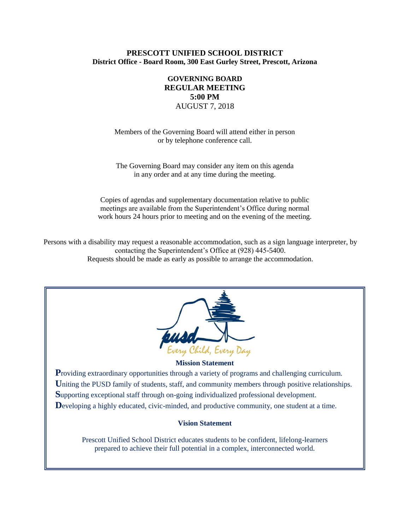# **PRESCOTT UNIFIED SCHOOL DISTRICT District Office - Board Room, 300 East Gurley Street, Prescott, Arizona**

# **GOVERNING BOARD REGULAR MEETING 5:00 PM** AUGUST 7, 2018

Members of the Governing Board will attend either in person or by telephone conference call.

The Governing Board may consider any item on this agenda in any order and at any time during the meeting.

Copies of agendas and supplementary documentation relative to public meetings are available from the Superintendent's Office during normal work hours 24 hours prior to meeting and on the evening of the meeting.

Persons with a disability may request a reasonable accommodation, such as a sign language interpreter, by contacting the Superintendent's Office at (928) 445-5400. Requests should be made as early as possible to arrange the accommodation.



#### **Mission Statement**

**P**roviding extraordinary opportunities through a variety of programs and challenging curriculum. Uniting the PUSD family of students, staff, and community members through positive relationships. **S**upporting exceptional staff through on-going individualized professional development. Developing a highly educated, civic-minded, and productive community, one student at a time.

### **Vision Statement**

Prescott Unified School District educates students to be confident, lifelong-learners prepared to achieve their full potential in a complex, interconnected world.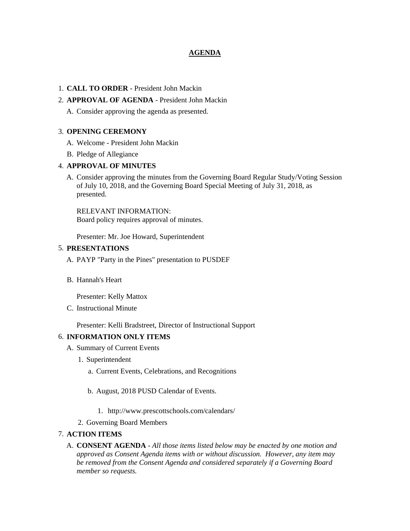# **AGENDA**

# 1. **CALL TO ORDER** - President John Mackin

# 2. **APPROVAL OF AGENDA** - President John Mackin

A. Consider approving the agenda as presented.

# 3. **OPENING CEREMONY**

- A. Welcome President John Mackin
- B. Pledge of Allegiance

# 4. **APPROVAL OF MINUTES**

A. Consider approving the minutes from the Governing Board Regular Study/Voting Session of July 10, 2018, and the Governing Board Special Meeting of July 31, 2018, as presented.

RELEVANT INFORMATION: Board policy requires approval of minutes.

Presenter: Mr. Joe Howard, Superintendent

# 5. **PRESENTATIONS**

- A. PAYP "Party in the Pines" presentation to PUSDEF
- B. Hannah's Heart

Presenter: Kelly Mattox

C. Instructional Minute

Presenter: Kelli Bradstreet, Director of Instructional Support

# 6. **INFORMATION ONLY ITEMS**

- A. Summary of Current Events
	- 1. Superintendent
		- a. Current Events, Celebrations, and Recognitions
		- b. August, 2018 PUSD Calendar of Events.
			- 1. http://www.prescottschools.com/calendars/
	- 2. Governing Board Members

# 7. **ACTION ITEMS**

A. **CONSENT AGENDA** - *All those items listed below may be enacted by one motion and approved as Consent Agenda items with or without discussion. However, any item may be removed from the Consent Agenda and considered separately if a Governing Board member so requests.*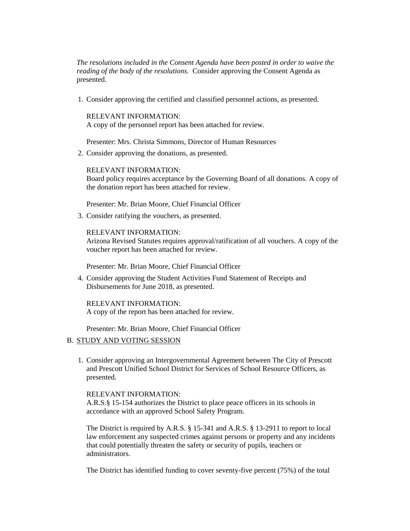*The resolutions included in the Consent Agenda have been posted in order to waive the reading of the body of the resolutions.* Consider approving the Consent Agenda as presented.

1. Consider approving the certified and classified personnel actions, as presented.

RELEVANT INFORMATION: A copy of the personnel report has been attached for review.

Presenter: Mrs. Christa Simmons, Director of Human Resources

2. Consider approving the donations, as presented.

RELEVANT INFORMATION: Board policy requires acceptance by the Governing Board of all donations. A copy of the donation report has been attached for review.

Presenter: Mr. Brian Moore, Chief Financial Officer

3. Consider ratifying the vouchers, as presented.

# RELEVANT INFORMATION:

Arizona Revised Statutes requires approval/ratification of all vouchers. A copy of the voucher report has been attached for review.

Presenter: Mr. Brian Moore, Chief Financial Officer

4. Consider approving the Student Activities Fund Statement of Receipts and Disbursements for June 2018, as presented.

RELEVANT INFORMATION: A copy of the report has been attached for review.

Presenter: Mr. Brian Moore, Chief Financial Officer

# B. STUDY AND VOTING SESSION

1. Consider approving an Intergovernmental Agreement between The City of Prescott and Prescott Unified School District for Services of School Resource Officers, as presented.

### RELEVANT INFORMATION:

A.R.S.§ 15-154 authorizes the District to place peace officers in its schools in accordance with an approved School Safety Program.

The District is required by A.R.S. § 15-341 and A.R.S. § 13-2911 to report to local law enforcement any suspected crimes against persons or property and any incidents that could potentially threaten the safety or security of pupils, teachers or administrators.

The District has identified funding to cover seventy-five percent (75%) of the total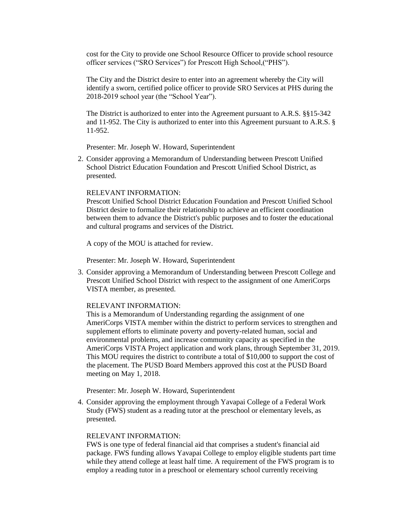cost for the City to provide one School Resource Officer to provide school resource officer services ("SRO Services") for Prescott High School,("PHS").

The City and the District desire to enter into an agreement whereby the City will identify a sworn, certified police officer to provide SRO Services at PHS during the 2018-2019 school year (the "School Year").

The District is authorized to enter into the Agreement pursuant to A.R.S. §§15-342 and 11-952. The City is authorized to enter into this Agreement pursuant to A.R.S. § 11-952.

Presenter: Mr. Joseph W. Howard, Superintendent

2. Consider approving a Memorandum of Understanding between Prescott Unified School District Education Foundation and Prescott Unified School District, as presented.

### RELEVANT INFORMATION:

Prescott Unified School District Education Foundation and Prescott Unified School District desire to formalize their relationship to achieve an efficient coordination between them to advance the District's public purposes and to foster the educational and cultural programs and services of the District.

A copy of the MOU is attached for review.

Presenter: Mr. Joseph W. Howard, Superintendent

3. Consider approving a Memorandum of Understanding between Prescott College and Prescott Unified School District with respect to the assignment of one AmeriCorps VISTA member, as presented.

#### RELEVANT INFORMATION:

This is a Memorandum of Understanding regarding the assignment of one AmeriCorps VISTA member within the district to perform services to strengthen and supplement efforts to eliminate poverty and poverty-related human, social and environmental problems, and increase community capacity as specified in the AmeriCorps VISTA Project application and work plans, through September 31, 2019. This MOU requires the district to contribute a total of \$10,000 to support the cost of the placement. The PUSD Board Members approved this cost at the PUSD Board meeting on May 1, 2018.

Presenter: Mr. Joseph W. Howard, Superintendent

4. Consider approving the employment through Yavapai College of a Federal Work Study (FWS) student as a reading tutor at the preschool or elementary levels, as presented.

### RELEVANT INFORMATION:

FWS is one type of federal financial aid that comprises a student's financial aid package. FWS funding allows Yavapai College to employ eligible students part time while they attend college at least half time. A requirement of the FWS program is to employ a reading tutor in a preschool or elementary school currently receiving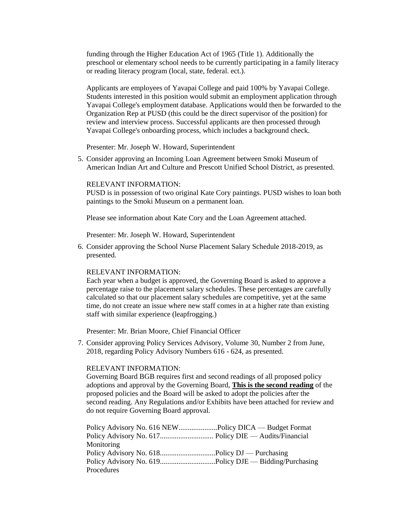funding through the Higher Education Act of 1965 (Title 1). Additionally the preschool or elementary school needs to be currently participating in a family literacy or reading literacy program (local, state, federal. ect.).

Applicants are employees of Yavapai College and paid 100% by Yavapai College. Students interested in this position would submit an employment application through Yavapai College's employment database. Applications would then be forwarded to the Organization Rep at PUSD (this could be the direct supervisor of the position) for review and interview process. Successful applicants are then processed through Yavapai College's onboarding process, which includes a background check.

Presenter: Mr. Joseph W. Howard, Superintendent

5. Consider approving an Incoming Loan Agreement between Smoki Museum of American Indian Art and Culture and Prescott Unified School District, as presented.

#### RELEVANT INFORMATION:

PUSD is in possession of two original Kate Cory paintings. PUSD wishes to loan both paintings to the Smoki Museum on a permanent loan.

Please see information about Kate Cory and the Loan Agreement attached.

Presenter: Mr. Joseph W. Howard, Superintendent

6. Consider approving the School Nurse Placement Salary Schedule 2018-2019, as presented.

#### RELEVANT INFORMATION:

Each year when a budget is approved, the Governing Board is asked to approve a percentage raise to the placement salary schedules. These percentages are carefully calculated so that our placement salary schedules are competitive, yet at the same time, do not create an issue where new staff comes in at a higher rate than existing staff with similar experience (leapfrogging.)

Presenter: Mr. Brian Moore, Chief Financial Officer

7. Consider approving Policy Services Advisory, Volume 30, Number 2 from June, 2018, regarding Policy Advisory Numbers 616 - 624, as presented.

### RELEVANT INFORMATION:

Governing Board BGB requires first and second readings of all proposed policy adoptions and approval by the Governing Board, **This is the second reading** of the proposed policies and the Board will be asked to adopt the policies after the second reading. Any Regulations and/or Exhibits have been attached for review and do not require Governing Board approval.

Policy Advisory No. 616 NEW.....................Policy DICA — Budget Format Policy Advisory No. 617............................. Policy DIE — Audits/Financial Monitoring Policy Advisory No. 618.................................Policy DJ — Purchasing Policy Advisory No. 619..............................Policy DJE — Bidding/Purchasing **Procedures**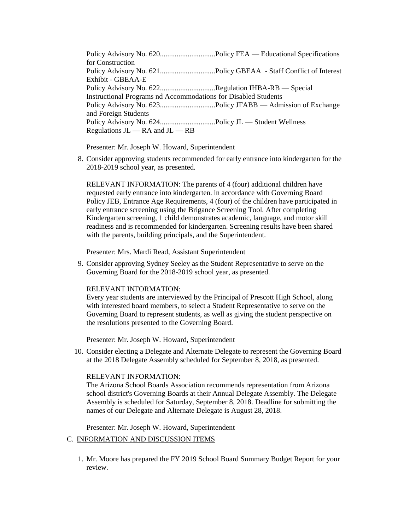Policy Advisory No. 620..............................Policy FEA — Educational Specifications for Construction Policy Advisory No. 621..............................Policy GBEAA - Staff Conflict of Interest Exhibit - GBEAA-E Policy Advisory No. 622...............................Regulation IHBA-RB - Special Instructional Programs nd Accommodations for Disabled Students Policy Advisory No. 623..............................Policy JFABB — Admission of Exchange and Foreign Students Policy Advisory No. 624...............................Policy JL — Student Wellness Regulations  $JL$  — RA and  $JL$  — RB

Presenter: Mr. Joseph W. Howard, Superintendent

8. Consider approving students recommended for early entrance into kindergarten for the 2018-2019 school year, as presented.

RELEVANT INFORMATION: The parents of 4 (four) additional children have requested early entrance into kindergarten. in accordance with Governing Board Policy JEB, Entrance Age Requirements, 4 (four) of the children have participated in early entrance screening using the Brigance Screening Tool. After completing Kindergarten screening, 1 child demonstrates academic, language, and motor skill readiness and is recommended for kindergarten. Screening results have been shared with the parents, building principals, and the Superintendent.

Presenter: Mrs. Mardi Read, Assistant Superintendent

9. Consider approving Sydney Seeley as the Student Representative to serve on the Governing Board for the 2018-2019 school year, as presented.

#### RELEVANT INFORMATION:

Every year students are interviewed by the Principal of Prescott High School, along with interested board members, to select a Student Representative to serve on the Governing Board to represent students, as well as giving the student perspective on the resolutions presented to the Governing Board.

Presenter: Mr. Joseph W. Howard, Superintendent

10. Consider electing a Delegate and Alternate Delegate to represent the Governing Board at the 2018 Delegate Assembly scheduled for September 8, 2018, as presented.

### RELEVANT INFORMATION:

The Arizona School Boards Association recommends representation from Arizona school district's Governing Boards at their Annual Delegate Assembly. The Delegate Assembly is scheduled for Saturday, September 8, 2018. Deadline for submitting the names of our Delegate and Alternate Delegate is August 28, 2018.

Presenter: Mr. Joseph W. Howard, Superintendent

## C. INFORMATION AND DISCUSSION ITEMS

1. Mr. Moore has prepared the FY 2019 School Board Summary Budget Report for your review.